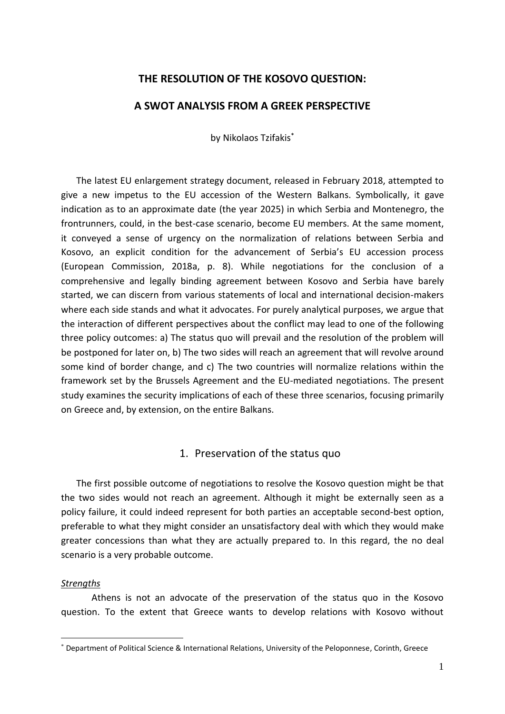# **THE RESOLUTION OF THE KOSOVO QUESTION:**

# **A SWOT ANALYSIS FROM A GREEK PERSPECTIVE**

by Nikolaos Tzifakis\*

The latest EU enlargement strategy document, released in February 2018, attempted to give a new impetus to the EU accession of the Western Balkans. Symbolically, it gave indication as to an approximate date (the year 2025) in which Serbia and Montenegro, the frontrunners, could, in the best-case scenario, become EU members. At the same moment, it conveyed a sense of urgency on the normalization of relations between Serbia and Kosovo, an explicit condition for the advancement of Serbia's EU accession process (European Commission, 2018a, p. 8). While negotiations for the conclusion of a comprehensive and legally binding agreement between Kosovo and Serbia have barely started, we can discern from various statements of local and international decision-makers where each side stands and what it advocates. For purely analytical purposes, we argue that the interaction of different perspectives about the conflict may lead to one of the following three policy outcomes: a) The status quo will prevail and the resolution of the problem will be postponed for later on, b) The two sides will reach an agreement that will revolve around some kind of border change, and c) The two countries will normalize relations within the framework set by the Brussels Agreement and the EU-mediated negotiations. The present study examines the security implications of each of these three scenarios, focusing primarily on Greece and, by extension, on the entire Balkans.

# 1. Preservation of the status quo

The first possible outcome of negotiations to resolve the Kosovo question might be that the two sides would not reach an agreement. Although it might be externally seen as a policy failure, it could indeed represent for both parties an acceptable second-best option, preferable to what they might consider an unsatisfactory deal with which they would make greater concessions than what they are actually prepared to. In this regard, the no deal scenario is a very probable outcome.

## *Strengths*

Athens is not an advocate of the preservation of the status quo in the Kosovo question. To the extent that Greece wants to develop relations with Kosovo without

<sup>\*</sup> Department of Political Science & International Relations, University of the Peloponnese, Corinth, Greece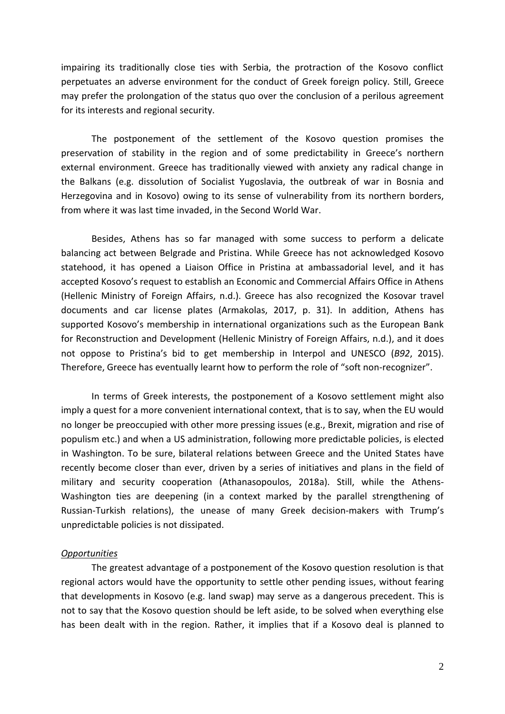impairing its traditionally close ties with Serbia, the protraction of the Kosovo conflict perpetuates an adverse environment for the conduct of Greek foreign policy. Still, Greece may prefer the prolongation of the status quo over the conclusion of a perilous agreement for its interests and regional security.

The postponement of the settlement of the Kosovo question promises the preservation of stability in the region and of some predictability in Greece's northern external environment. Greece has traditionally viewed with anxiety any radical change in the Balkans (e.g. dissolution of Socialist Yugoslavia, the outbreak of war in Bosnia and Herzegovina and in Kosovo) owing to its sense of vulnerability from its northern borders, from where it was last time invaded, in the Second World War.

Besides, Athens has so far managed with some success to perform a delicate balancing act between Belgrade and Pristina. While Greece has not acknowledged Kosovo statehood, it has opened a Liaison Office in Pristina at ambassadorial level, and it has accepted Kosovo's request to establish an Economic and Commercial Affairs Office in Athens (Hellenic Ministry of Foreign Affairs, n.d.). Greece has also recognized the Kosovar travel documents and car license plates (Armakolas, 2017, p. 31). In addition, Athens has supported Kosovo's membership in international organizations such as the European Bank for Reconstruction and Development (Hellenic Ministry of Foreign Affairs, n.d.), and it does not oppose to Pristina's bid to get membership in Interpol and UNESCO (*B92*, 2015). Therefore, Greece has eventually learnt how to perform the role of "soft non-recognizer".

In terms of Greek interests, the postponement of a Kosovo settlement might also imply a quest for a more convenient international context, that is to say, when the EU would no longer be preoccupied with other more pressing issues (e.g., Brexit, migration and rise of populism etc.) and when a US administration, following more predictable policies, is elected in Washington. To be sure, bilateral relations between Greece and the United States have recently become closer than ever, driven by a series of initiatives and plans in the field of military and security cooperation (Athanasopoulos, 2018a). Still, while the Athens-Washington ties are deepening (in a context marked by the parallel strengthening of Russian-Turkish relations), the unease of many Greek decision-makers with Trump's unpredictable policies is not dissipated.

## *Opportunities*

The greatest advantage of a postponement of the Kosovo question resolution is that regional actors would have the opportunity to settle other pending issues, without fearing that developments in Kosovo (e.g. land swap) may serve as a dangerous precedent. This is not to say that the Kosovo question should be left aside, to be solved when everything else has been dealt with in the region. Rather, it implies that if a Kosovo deal is planned to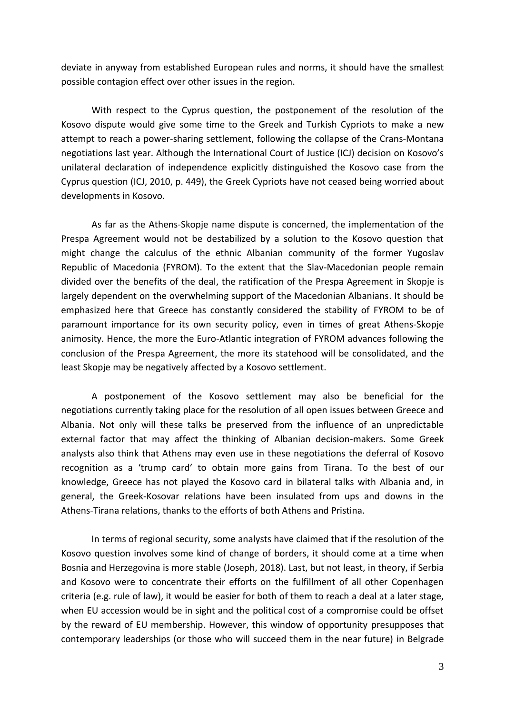deviate in anyway from established European rules and norms, it should have the smallest possible contagion effect over other issues in the region.

With respect to the Cyprus question, the postponement of the resolution of the Kosovo dispute would give some time to the Greek and Turkish Cypriots to make a new attempt to reach a power-sharing settlement, following the collapse of the Crans-Montana negotiations last year. Although the International Court of Justice (ICJ) decision on Kosovo's unilateral declaration of independence explicitly distinguished the Kosovo case from the Cyprus question (ICJ, 2010, p. 449), the Greek Cypriots have not ceased being worried about developments in Kosovo.

As far as the Athens-Skopje name dispute is concerned, the implementation of the Prespa Agreement would not be destabilized by a solution to the Kosovo question that might change the calculus of the ethnic Albanian community of the former Yugoslav Republic of Macedonia (FYROM). To the extent that the Slav-Macedonian people remain divided over the benefits of the deal, the ratification of the Prespa Agreement in Skopje is largely dependent on the overwhelming support of the Macedonian Albanians. It should be emphasized here that Greece has constantly considered the stability of FYROM to be of paramount importance for its own security policy, even in times of great Athens-Skopje animosity. Hence, the more the Euro-Atlantic integration of FYROM advances following the conclusion of the Prespa Agreement, the more its statehood will be consolidated, and the least Skopje may be negatively affected by a Kosovo settlement.

A postponement of the Kosovo settlement may also be beneficial for the negotiations currently taking place for the resolution of all open issues between Greece and Albania. Not only will these talks be preserved from the influence of an unpredictable external factor that may affect the thinking of Albanian decision-makers. Some Greek analysts also think that Athens may even use in these negotiations the deferral of Kosovo recognition as a 'trump card' to obtain more gains from Tirana. To the best of our knowledge, Greece has not played the Kosovo card in bilateral talks with Albania and, in general, the Greek-Kosovar relations have been insulated from ups and downs in the Athens-Tirana relations, thanks to the efforts of both Athens and Pristina.

In terms of regional security, some analysts have claimed that if the resolution of the Kosovo question involves some kind of change of borders, it should come at a time when Bosnia and Herzegovina is more stable (Joseph, 2018). Last, but not least, in theory, if Serbia and Kosovo were to concentrate their efforts on the fulfillment of all other Copenhagen criteria (e.g. rule of law), it would be easier for both of them to reach a deal at a later stage, when EU accession would be in sight and the political cost of a compromise could be offset by the reward of EU membership. However, this window of opportunity presupposes that contemporary leaderships (or those who will succeed them in the near future) in Belgrade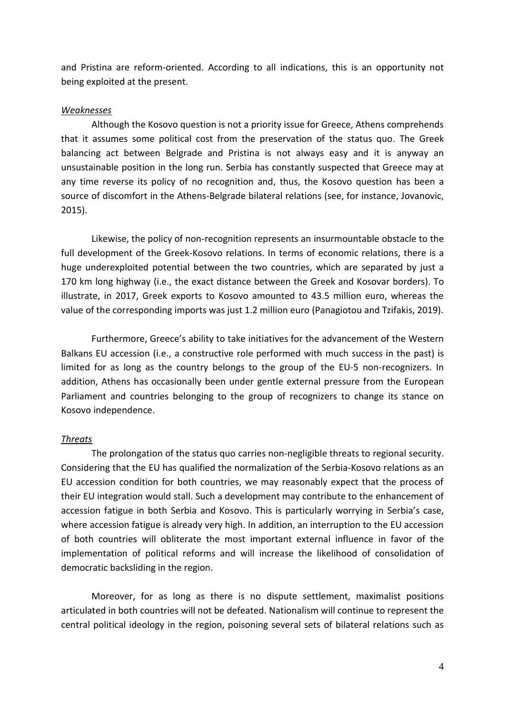and Pristina are reform-oriented. According to all indications, this is an opportunity not being exploited at the present.

## *Weaknesses*

Although the Kosovo question is not a priority issue for Greece, Athens comprehends that it assumes some political cost from the preservation of the status quo. The Greek balancing act between Belgrade and Pristina is not always easy and it is anyway an unsustainable position in the long run. Serbia has constantly suspected that Greece may at any time reverse its policy of no recognition and, thus, the Kosovo question has been a source of discomfort in the Athens-Belgrade bilateral relations (see, for instance, Jovanovic, 2015).

Likewise, the policy of non-recognition represents an insurmountable obstacle to the full development of the Greek-Kosovo relations. In terms of economic relations, there is a huge underexploited potential between the two countries, which are separated by just a 170 km long highway (i.e., the exact distance between the Greek and Kosovar borders). To illustrate, in 2017, Greek exports to Kosovo amounted to 43.5 million euro, whereas the value of the corresponding imports was just 1.2 million euro (Panagiotou and Tzifakis, 2019).

Furthermore, Greece's ability to take initiatives for the advancement of the Western Balkans EU accession (i.e., a constructive role performed with much success in the past) is limited for as long as the country belongs to the group of the EU-5 non-recognizers. In addition, Athens has occasionally been under gentle external pressure from the European Parliament and countries belonging to the group of recognizers to change its stance on Kosovo independence.

## *Threats*

The prolongation of the status quo carries non-negligible threats to regional security. Considering that the EU has qualified the normalization of the Serbia-Kosovo relations as an EU accession condition for both countries, we may reasonably expect that the process of their EU integration would stall. Such a development may contribute to the enhancement of accession fatigue in both Serbia and Kosovo. This is particularly worrying in Serbia's case, where accession fatigue is already very high. In addition, an interruption to the EU accession of both countries will obliterate the most important external influence in favor of the implementation of political reforms and will increase the likelihood of consolidation of democratic backsliding in the region.

Moreover, for as long as there is no dispute settlement, maximalist positions articulated in both countries will not be defeated. Nationalism will continue to represent the central political ideology in the region, poisoning several sets of bilateral relations such as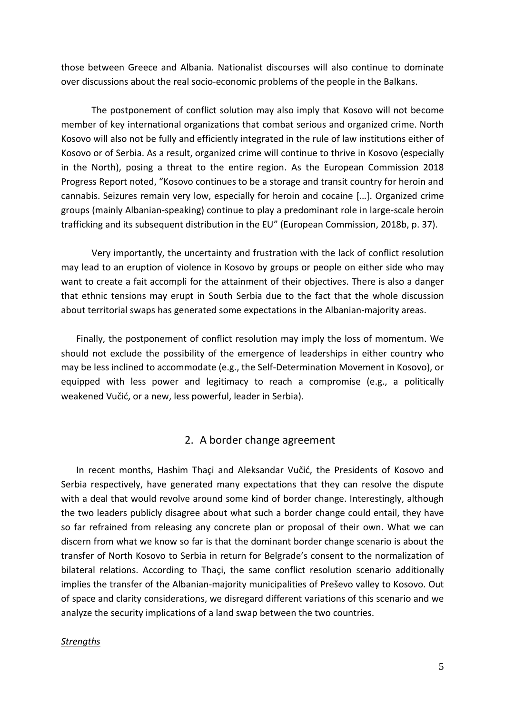those between Greece and Albania. Nationalist discourses will also continue to dominate over discussions about the real socio-economic problems of the people in the Balkans.

The postponement of conflict solution may also imply that Kosovo will not become member of key international organizations that combat serious and organized crime. North Kosovo will also not be fully and efficiently integrated in the rule of law institutions either of Kosovo or of Serbia. As a result, organized crime will continue to thrive in Kosovo (especially in the North), posing a threat to the entire region. As the European Commission 2018 Progress Report noted, "Kosovo continues to be a storage and transit country for heroin and cannabis. Seizures remain very low, especially for heroin and cocaine […]. Organized crime groups (mainly Albanian-speaking) continue to play a predominant role in large-scale heroin trafficking and its subsequent distribution in the EU" (European Commission, 2018b, p. 37).

Very importantly, the uncertainty and frustration with the lack of conflict resolution may lead to an eruption of violence in Kosovo by groups or people on either side who may want to create a fait accompli for the attainment of their objectives. There is also a danger that ethnic tensions may erupt in South Serbia due to the fact that the whole discussion about territorial swaps has generated some expectations in the Albanian-majority areas.

Finally, the postponement of conflict resolution may imply the loss of momentum. We should not exclude the possibility of the emergence of leaderships in either country who may be less inclined to accommodate (e.g., the Self-Determination Movement in Kosovo), or equipped with less power and legitimacy to reach a compromise (e.g., a politically weakened Vučić, or a new, less powerful, leader in Serbia).

# 2. A border change agreement

In recent months, Hashim Thaçi and Aleksandar Vučić, the Presidents of Kosovo and Serbia respectively, have generated many expectations that they can resolve the dispute with a deal that would revolve around some kind of border change. Interestingly, although the two leaders publicly disagree about what such a border change could entail, they have so far refrained from releasing any concrete plan or proposal of their own. What we can discern from what we know so far is that the dominant border change scenario is about the transfer of North Kosovo to Serbia in return for Belgrade's consent to the normalization of bilateral relations. According to Thaçi, the same conflict resolution scenario additionally implies the transfer of the Albanian-majority municipalities of Preševo valley to Kosovo. Out of space and clarity considerations, we disregard different variations of this scenario and we analyze the security implications of a land swap between the two countries.

## *Strengths*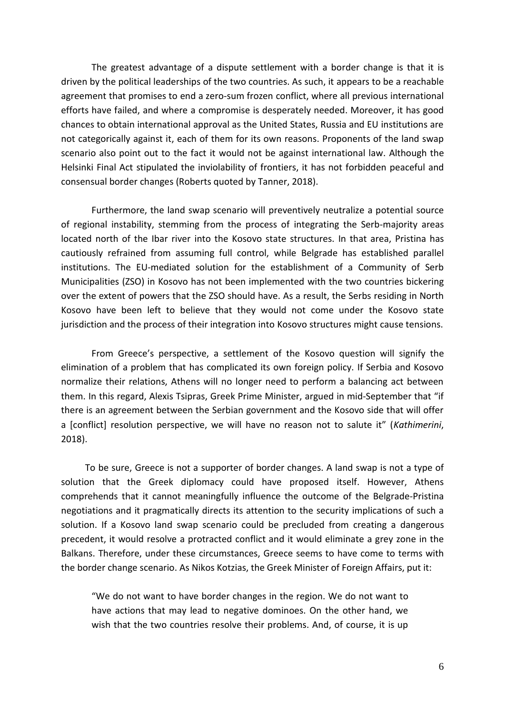The greatest advantage of a dispute settlement with a border change is that it is driven by the political leaderships of the two countries. As such, it appears to be a reachable agreement that promises to end a zero-sum frozen conflict, where all previous international efforts have failed, and where a compromise is desperately needed. Moreover, it has good chances to obtain international approval as the United States, Russia and EU institutions are not categorically against it, each of them for its own reasons. Proponents of the land swap scenario also point out to the fact it would not be against international law. Although the Helsinki Final Act stipulated the inviolability of frontiers, it has not forbidden peaceful and consensual border changes (Roberts quoted by Tanner, 2018).

Furthermore, the land swap scenario will preventively neutralize a potential source of regional instability, stemming from the process of integrating the Serb-majority areas located north of the Ibar river into the Kosovo state structures. In that area, Pristina has cautiously refrained from assuming full control, while Belgrade has established parallel institutions. The EU-mediated solution for the establishment of a Community of Serb Municipalities (ZSO) in Kosovo has not been implemented with the two countries bickering over the extent of powers that the ZSO should have. As a result, the Serbs residing in North Kosovo have been left to believe that they would not come under the Kosovo state jurisdiction and the process of their integration into Kosovo structures might cause tensions.

From Greece's perspective, a settlement of the Kosovo question will signify the elimination of a problem that has complicated its own foreign policy. If Serbia and Kosovo normalize their relations, Athens will no longer need to perform a balancing act between them. In this regard, Alexis Tsipras, Greek Prime Minister, argued in mid-September that "if there is an agreement between the Serbian government and the Kosovo side that will offer a [conflict] resolution perspective, we will have no reason not to salute it" (*Kathimerini*, 2018).

To be sure, Greece is not a supporter of border changes. A land swap is not a type of solution that the Greek diplomacy could have proposed itself. However, Athens comprehends that it cannot meaningfully influence the outcome of the Belgrade-Pristina negotiations and it pragmatically directs its attention to the security implications of such a solution. If a Kosovo land swap scenario could be precluded from creating a dangerous precedent, it would resolve a protracted conflict and it would eliminate a grey zone in the Balkans. Therefore, under these circumstances, Greece seems to have come to terms with the border change scenario. As Nikos Kotzias, the Greek Minister of Foreign Affairs, put it:

"We do not want to have border changes in the region. We do not want to have actions that may lead to negative dominoes. On the other hand, we wish that the two countries resolve their problems. And, of course, it is up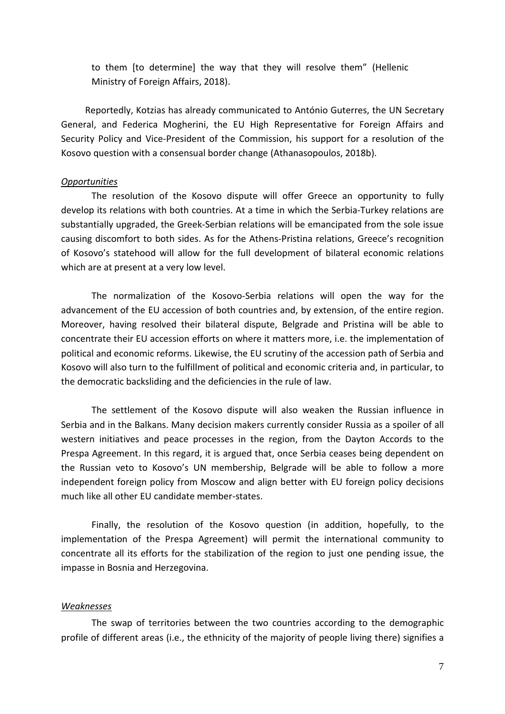to them [to determine] the way that they will resolve them" (Hellenic Ministry of Foreign Affairs, 2018).

Reportedly, Kotzias has already communicated to António Guterres, the UN Secretary General, and Federica Mogherini, the EU High Representative for Foreign Affairs and Security Policy and Vice-President of the Commission, his support for a resolution of the Kosovo question with a consensual border change (Athanasopoulos, 2018b).

## *Opportunities*

The resolution of the Kosovo dispute will offer Greece an opportunity to fully develop its relations with both countries. At a time in which the Serbia-Turkey relations are substantially upgraded, the Greek-Serbian relations will be emancipated from the sole issue causing discomfort to both sides. As for the Athens-Pristina relations, Greece's recognition of Kosovo's statehood will allow for the full development of bilateral economic relations which are at present at a very low level.

The normalization of the Kosovo-Serbia relations will open the way for the advancement of the EU accession of both countries and, by extension, of the entire region. Moreover, having resolved their bilateral dispute, Belgrade and Pristina will be able to concentrate their EU accession efforts on where it matters more, i.e. the implementation of political and economic reforms. Likewise, the EU scrutiny of the accession path of Serbia and Kosovo will also turn to the fulfillment of political and economic criteria and, in particular, to the democratic backsliding and the deficiencies in the rule of law.

The settlement of the Kosovo dispute will also weaken the Russian influence in Serbia and in the Balkans. Many decision makers currently consider Russia as a spoiler of all western initiatives and peace processes in the region, from the Dayton Accords to the Prespa Agreement. In this regard, it is argued that, once Serbia ceases being dependent on the Russian veto to Kosovo's UN membership, Belgrade will be able to follow a more independent foreign policy from Moscow and align better with EU foreign policy decisions much like all other EU candidate member-states.

Finally, the resolution of the Kosovo question (in addition, hopefully, to the implementation of the Prespa Agreement) will permit the international community to concentrate all its efforts for the stabilization of the region to just one pending issue, the impasse in Bosnia and Herzegovina.

## *Weaknesses*

The swap of territories between the two countries according to the demographic profile of different areas (i.e., the ethnicity of the majority of people living there) signifies a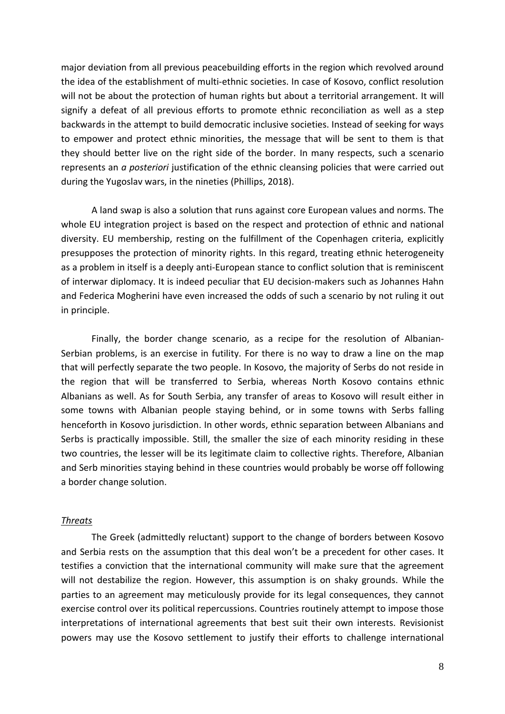major deviation from all previous peacebuilding efforts in the region which revolved around the idea of the establishment of multi-ethnic societies. In case of Kosovo, conflict resolution will not be about the protection of human rights but about a territorial arrangement. It will signify a defeat of all previous efforts to promote ethnic reconciliation as well as a step backwards in the attempt to build democratic inclusive societies. Instead of seeking for ways to empower and protect ethnic minorities, the message that will be sent to them is that they should better live on the right side of the border. In many respects, such a scenario represents an *a posteriori* justification of the ethnic cleansing policies that were carried out during the Yugoslav wars, in the nineties (Phillips, 2018).

A land swap is also a solution that runs against core European values and norms. The whole EU integration project is based on the respect and protection of ethnic and national diversity. EU membership, resting on the fulfillment of the Copenhagen criteria, explicitly presupposes the protection of minority rights. In this regard, treating ethnic heterogeneity as a problem in itself is a deeply anti-European stance to conflict solution that is reminiscent of interwar diplomacy. It is indeed peculiar that EU decision-makers such as Johannes Hahn and Federica Mogherini have even increased the odds of such a scenario by not ruling it out in principle.

Finally, the border change scenario, as a recipe for the resolution of Albanian-Serbian problems, is an exercise in futility. For there is no way to draw a line on the map that will perfectly separate the two people. In Kosovo, the majority of Serbs do not reside in the region that will be transferred to Serbia, whereas North Kosovo contains ethnic Albanians as well. As for South Serbia, any transfer of areas to Kosovo will result either in some towns with Albanian people staying behind, or in some towns with Serbs falling henceforth in Kosovo jurisdiction. In other words, ethnic separation between Albanians and Serbs is practically impossible. Still, the smaller the size of each minority residing in these two countries, the lesser will be its legitimate claim to collective rights. Therefore, Albanian and Serb minorities staying behind in these countries would probably be worse off following a border change solution.

#### *Threats*

The Greek (admittedly reluctant) support to the change of borders between Kosovo and Serbia rests on the assumption that this deal won't be a precedent for other cases. It testifies a conviction that the international community will make sure that the agreement will not destabilize the region. However, this assumption is on shaky grounds. While the parties to an agreement may meticulously provide for its legal consequences, they cannot exercise control over its political repercussions. Countries routinely attempt to impose those interpretations of international agreements that best suit their own interests. Revisionist powers may use the Kosovo settlement to justify their efforts to challenge international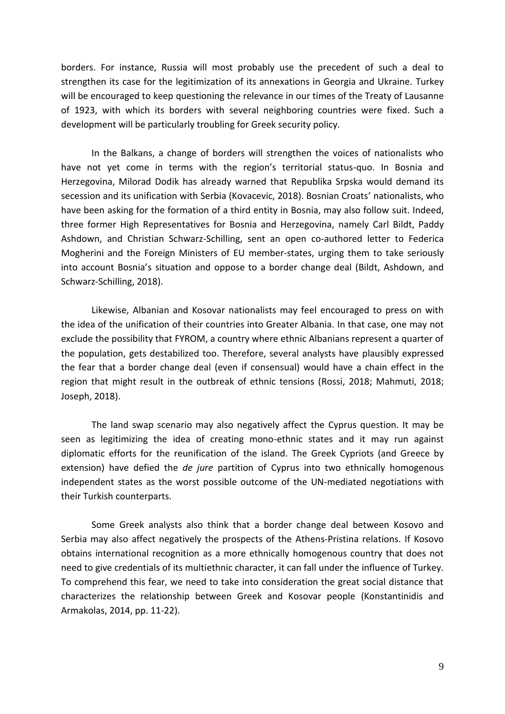borders. For instance, Russia will most probably use the precedent of such a deal to strengthen its case for the legitimization of its annexations in Georgia and Ukraine. Turkey will be encouraged to keep questioning the relevance in our times of the Treaty of Lausanne of 1923, with which its borders with several neighboring countries were fixed. Such a development will be particularly troubling for Greek security policy.

In the Balkans, a change of borders will strengthen the voices of nationalists who have not yet come in terms with the region's territorial status-quo. In Bosnia and Herzegovina, Milorad Dodik has already warned that Republika Srpska would demand its secession and its unification with Serbia (Kovacevic, 2018). Bosnian Croats' nationalists, who have been asking for the formation of a third entity in Bosnia, may also follow suit. Indeed, three former High Representatives for Bosnia and Herzegovina, namely Carl Bildt, Paddy Ashdown, and Christian Schwarz-Schilling, sent an open co-authored letter to Federica Mogherini and the Foreign Ministers of EU member-states, urging them to take seriously into account Bosnia's situation and oppose to a border change deal (Bildt, Ashdown, and Schwarz-Schilling, 2018).

Likewise, Albanian and Kosovar nationalists may feel encouraged to press on with the idea of the unification of their countries into Greater Albania. In that case, one may not exclude the possibility that FYROM, a country where ethnic Albanians represent a quarter of the population, gets destabilized too. Therefore, several analysts have plausibly expressed the fear that a border change deal (even if consensual) would have a chain effect in the region that might result in the outbreak of ethnic tensions (Rossi, 2018; Mahmuti, 2018; Joseph, 2018).

The land swap scenario may also negatively affect the Cyprus question. It may be seen as legitimizing the idea of creating mono-ethnic states and it may run against diplomatic efforts for the reunification of the island. The Greek Cypriots (and Greece by extension) have defied the *de jure* partition of Cyprus into two ethnically homogenous independent states as the worst possible outcome of the UN-mediated negotiations with their Turkish counterparts.

Some Greek analysts also think that a border change deal between Kosovo and Serbia may also affect negatively the prospects of the Athens-Pristina relations. If Kosovo obtains international recognition as a more ethnically homogenous country that does not need to give credentials of its multiethnic character, it can fall under the influence of Turkey. To comprehend this fear, we need to take into consideration the great social distance that characterizes the relationship between Greek and Kosovar people (Konstantinidis and Armakolas, 2014, pp. 11-22).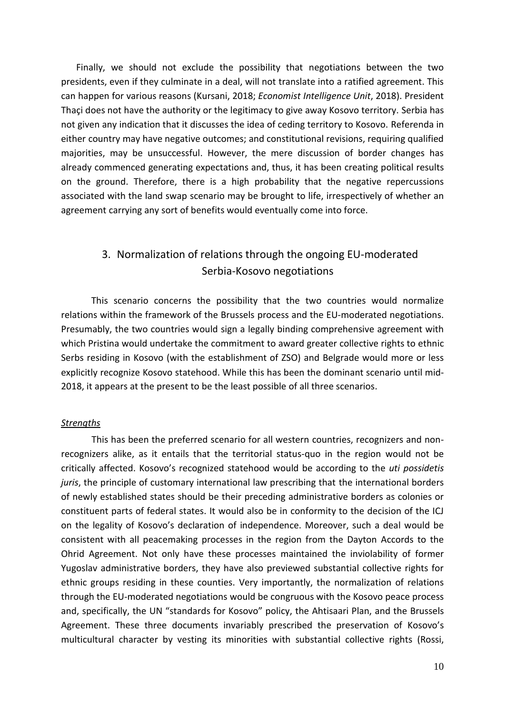Finally, we should not exclude the possibility that negotiations between the two presidents, even if they culminate in a deal, will not translate into a ratified agreement. This can happen for various reasons (Kursani, 2018; *Economist Intelligence Unit*, 2018). President Thaçi does not have the authority or the legitimacy to give away Kosovo territory. Serbia has not given any indication that it discusses the idea of ceding territory to Kosovo. Referenda in either country may have negative outcomes; and constitutional revisions, requiring qualified majorities, may be unsuccessful. However, the mere discussion of border changes has already commenced generating expectations and, thus, it has been creating political results on the ground. Therefore, there is a high probability that the negative repercussions associated with the land swap scenario may be brought to life, irrespectively of whether an agreement carrying any sort of benefits would eventually come into force.

# 3. Normalization of relations through the ongoing EU-moderated Serbia-Kosovo negotiations

This scenario concerns the possibility that the two countries would normalize relations within the framework of the Brussels process and the EU-moderated negotiations. Presumably, the two countries would sign a legally binding comprehensive agreement with which Pristina would undertake the commitment to award greater collective rights to ethnic Serbs residing in Kosovo (with the establishment of ZSO) and Belgrade would more or less explicitly recognize Kosovo statehood. While this has been the dominant scenario until mid-2018, it appears at the present to be the least possible of all three scenarios.

## *Strengths*

This has been the preferred scenario for all western countries, recognizers and nonrecognizers alike, as it entails that the territorial status-quo in the region would not be critically affected. Kosovo's recognized statehood would be according to the *uti possidetis juris*, the principle of customary international law prescribing that the international borders of newly established states should be their preceding administrative borders as colonies or constituent parts of federal states. It would also be in conformity to the decision of the ICJ on the legality of Kosovo's declaration of independence. Moreover, such a deal would be consistent with all peacemaking processes in the region from the Dayton Accords to the Ohrid Agreement. Not only have these processes maintained the inviolability of former Yugoslav administrative borders, they have also previewed substantial collective rights for ethnic groups residing in these counties. Very importantly, the normalization of relations through the EU-moderated negotiations would be congruous with the Kosovo peace process and, specifically, the UN "standards for Kosovo" policy, the Ahtisaari Plan, and the Brussels Agreement. These three documents invariably prescribed the preservation of Kosovo's multicultural character by vesting its minorities with substantial collective rights (Rossi,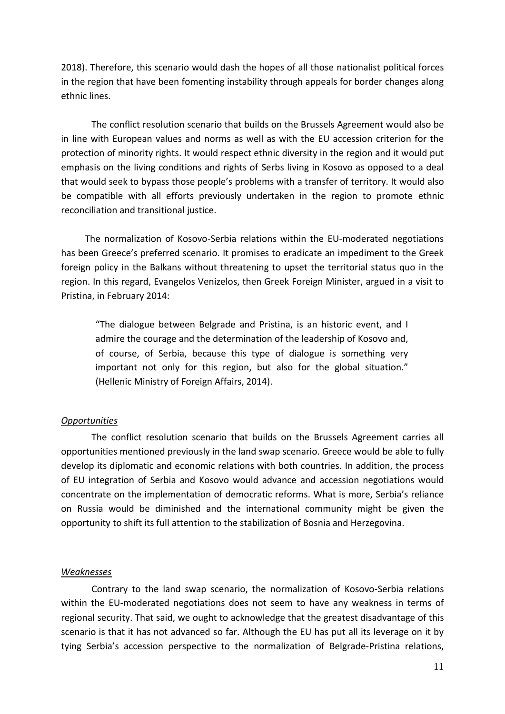2018). Therefore, this scenario would dash the hopes of all those nationalist political forces in the region that have been fomenting instability through appeals for border changes along ethnic lines.

The conflict resolution scenario that builds on the Brussels Agreement would also be in line with European values and norms as well as with the EU accession criterion for the protection of minority rights. It would respect ethnic diversity in the region and it would put emphasis on the living conditions and rights of Serbs living in Kosovo as opposed to a deal that would seek to bypass those people's problems with a transfer of territory. It would also be compatible with all efforts previously undertaken in the region to promote ethnic reconciliation and transitional justice.

The normalization of Kosovo-Serbia relations within the EU-moderated negotiations has been Greece's preferred scenario. It promises to eradicate an impediment to the Greek foreign policy in the Balkans without threatening to upset the territorial status quo in the region. In this regard, Evangelos Venizelos, then Greek Foreign Minister, argued in a visit to Pristina, in February 2014:

"The dialogue between Belgrade and Pristina, is an historic event, and I admire the courage and the determination of the leadership of Kosovo and, of course, of Serbia, because this type of dialogue is something very important not only for this region, but also for the global situation." (Hellenic Ministry of Foreign Affairs, 2014).

# *Opportunities*

The conflict resolution scenario that builds on the Brussels Agreement carries all opportunities mentioned previously in the land swap scenario. Greece would be able to fully develop its diplomatic and economic relations with both countries. In addition, the process of EU integration of Serbia and Kosovo would advance and accession negotiations would concentrate on the implementation of democratic reforms. What is more, Serbia's reliance on Russia would be diminished and the international community might be given the opportunity to shift its full attention to the stabilization of Bosnia and Herzegovina.

# *Weaknesses*

Contrary to the land swap scenario, the normalization of Kosovo-Serbia relations within the EU-moderated negotiations does not seem to have any weakness in terms of regional security. That said, we ought to acknowledge that the greatest disadvantage of this scenario is that it has not advanced so far. Although the EU has put all its leverage on it by tying Serbia's accession perspective to the normalization of Belgrade-Pristina relations,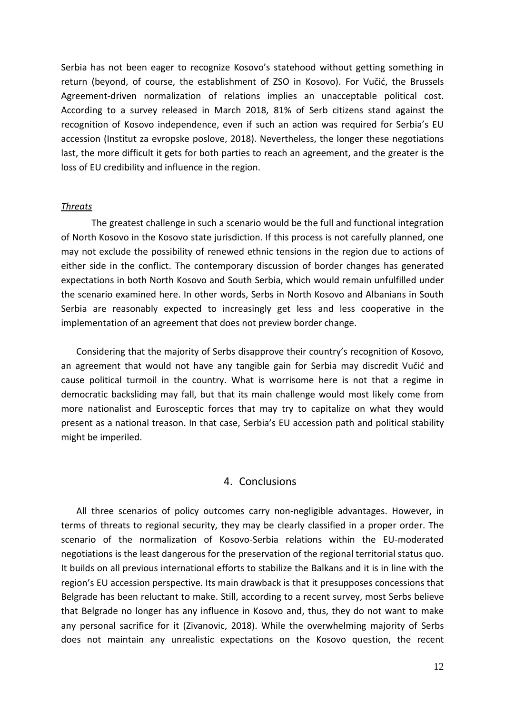Serbia has not been eager to recognize Kosovo's statehood without getting something in return (beyond, of course, the establishment of ZSO in Kosovo). For Vučić, the Brussels Agreement-driven normalization of relations implies an unacceptable political cost. According to a survey released in March 2018, 81% of Serb citizens stand against the recognition of Kosovo independence, even if such an action was required for Serbia's EU accession (Institut za evropske poslove, 2018). Nevertheless, the longer these negotiations last, the more difficult it gets for both parties to reach an agreement, and the greater is the loss of EU credibility and influence in the region.

#### *Threats*

The greatest challenge in such a scenario would be the full and functional integration of North Kosovo in the Kosovo state jurisdiction. If this process is not carefully planned, one may not exclude the possibility of renewed ethnic tensions in the region due to actions of either side in the conflict. The contemporary discussion of border changes has generated expectations in both North Kosovo and South Serbia, which would remain unfulfilled under the scenario examined here. In other words, Serbs in North Kosovo and Albanians in South Serbia are reasonably expected to increasingly get less and less cooperative in the implementation of an agreement that does not preview border change.

Considering that the majority of Serbs disapprove their country's recognition of Kosovo, an agreement that would not have any tangible gain for Serbia may discredit Vučić and cause political turmoil in the country. What is worrisome here is not that a regime in democratic backsliding may fall, but that its main challenge would most likely come from more nationalist and Eurosceptic forces that may try to capitalize on what they would present as a national treason. In that case, Serbia's EU accession path and political stability might be imperiled.

# 4. Conclusions

All three scenarios of policy outcomes carry non-negligible advantages. However, in terms of threats to regional security, they may be clearly classified in a proper order. The scenario of the normalization of Kosovo-Serbia relations within the EU-moderated negotiations is the least dangerous for the preservation of the regional territorial status quo. It builds on all previous international efforts to stabilize the Balkans and it is in line with the region's EU accession perspective. Its main drawback is that it presupposes concessions that Belgrade has been reluctant to make. Still, according to a recent survey, most Serbs believe that Belgrade no longer has any influence in Kosovo and, thus, they do not want to make any personal sacrifice for it (Zivanovic, 2018). While the overwhelming majority of Serbs does not maintain any unrealistic expectations on the Kosovo question, the recent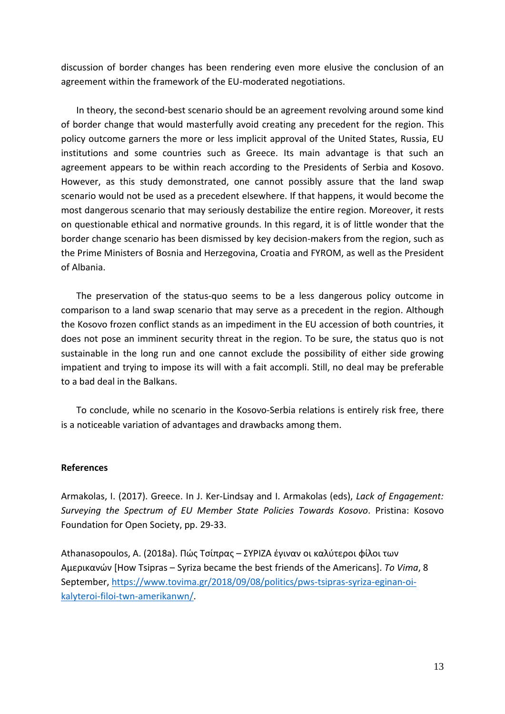discussion of border changes has been rendering even more elusive the conclusion of an agreement within the framework of the EU-moderated negotiations.

In theory, the second-best scenario should be an agreement revolving around some kind of border change that would masterfully avoid creating any precedent for the region. This policy outcome garners the more or less implicit approval of the United States, Russia, EU institutions and some countries such as Greece. Its main advantage is that such an agreement appears to be within reach according to the Presidents of Serbia and Kosovo. However, as this study demonstrated, one cannot possibly assure that the land swap scenario would not be used as a precedent elsewhere. If that happens, it would become the most dangerous scenario that may seriously destabilize the entire region. Moreover, it rests on questionable ethical and normative grounds. In this regard, it is of little wonder that the border change scenario has been dismissed by key decision-makers from the region, such as the Prime Ministers of Bosnia and Herzegovina, Croatia and FYROM, as well as the President of Albania.

The preservation of the status-quo seems to be a less dangerous policy outcome in comparison to a land swap scenario that may serve as a precedent in the region. Although the Kosovo frozen conflict stands as an impediment in the EU accession of both countries, it does not pose an imminent security threat in the region. To be sure, the status quo is not sustainable in the long run and one cannot exclude the possibility of either side growing impatient and trying to impose its will with a fait accompli. Still, no deal may be preferable to a bad deal in the Balkans.

To conclude, while no scenario in the Kosovo-Serbia relations is entirely risk free, there is a noticeable variation of advantages and drawbacks among them.

# **References**

Armakolas, I. (2017). Greece. In J. Ker-Lindsay and I. Armakolas (eds), *Lack of Engagement: Surveying the Spectrum of EU Member State Policies Towards Kosovo*. Pristina: Kosovo Foundation for Open Society, pp. 29-33.

Athanasopoulos, A. (2018a). Πώς Τσίπρας – ΣΥΡΙΖΑ έγιναν οι καλύτεροι φίλοι των Αμερικανών [How Tsipras – Syriza became the best friends of the Americans]. *To Vima*, 8 September, [https://www.tovima.gr/2018/09/08/politics/pws-tsipras-syriza-eginan-oi](https://www.tovima.gr/2018/09/08/politics/pws-tsipras-syriza-eginan-oi-kalyteroi-filoi-twn-amerikanwn/)[kalyteroi-filoi-twn-amerikanwn/.](https://www.tovima.gr/2018/09/08/politics/pws-tsipras-syriza-eginan-oi-kalyteroi-filoi-twn-amerikanwn/)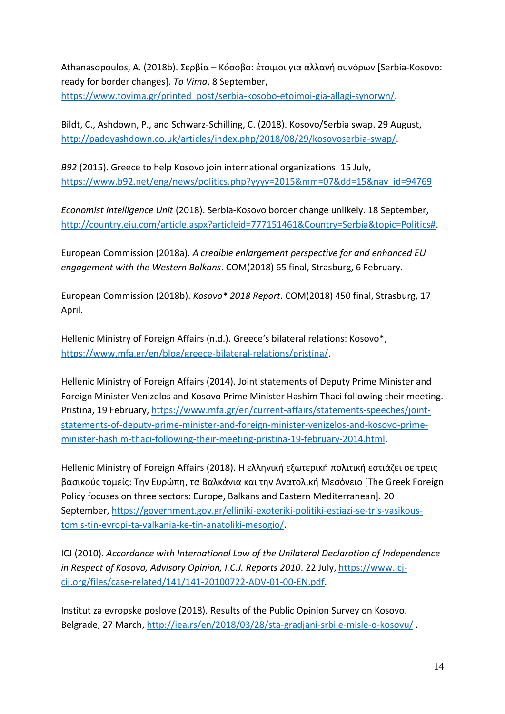Athanasopoulos, A. (2018b). Σερβία – Κόσοβο: έτοιμοι για αλλαγή συνόρων [Serbia-Kosovo: ready for border changes]. *To Vima*, 8 September, [https://www.tovima.gr/printed\\_post/serbia-kosobo-etoimoi-gia-allagi-synorwn/.](https://www.tovima.gr/printed_post/serbia-kosobo-etoimoi-gia-allagi-synorwn/)

Bildt, C., Ashdown, P., and Schwarz-Schilling, C. (2018). Kosovo/Serbia swap. 29 August, [http://paddyashdown.co.uk/articles/index.php/2018/08/29/kosovoserbia-swap/.](http://paddyashdown.co.uk/articles/index.php/2018/08/29/kosovoserbia-swap/)

*B92* (2015). Greece to help Kosovo join international organizations. 15 July, [https://www.b92.net/eng/news/politics.php?yyyy=2015&mm=07&dd=15&nav\\_id=94769](https://www.b92.net/eng/news/politics.php?yyyy=2015&mm=07&dd=15&nav_id=94769)

*Economist Intelligence Unit* (2018). Serbia-Kosovo border change unlikely. 18 September, [http://country.eiu.com/article.aspx?articleid=777151461&Country=Serbia&topic=Politics#.](http://country.eiu.com/article.aspx?articleid=777151461&Country=Serbia&topic=Politics)

European Commission (2018a). *A credible enlargement perspective for and enhanced EU engagement with the Western Balkans*. COM(2018) 65 final, Strasburg, 6 February.

European Commission (2018b). *Kosovo\* 2018 Report*. COM(2018) 450 final, Strasburg, 17 April.

Hellenic Ministry of Foreign Affairs (n.d.). Greece's bilateral relations: Kosovo\*, [https://www.mfa.gr/en/blog/greece-bilateral-relations/pristina/.](https://www.mfa.gr/en/blog/greece-bilateral-relations/pristina/)

Hellenic Ministry of Foreign Affairs (2014). Joint statements of Deputy Prime Minister and Foreign Minister Venizelos and Kosovo Prime Minister Hashim Thaci following their meeting. Pristina, 19 February, [https://www.mfa.gr/en/current-affairs/statements-speeches/joint](https://www.mfa.gr/en/current-affairs/statements-speeches/joint-statements-of-deputy-prime-minister-and-foreign-minister-venizelos-and-kosovo-prime-minister-hashim-thaci-following-their-meeting-pristina-19-february-2014.html)[statements-of-deputy-prime-minister-and-foreign-minister-venizelos-and-kosovo-prime](https://www.mfa.gr/en/current-affairs/statements-speeches/joint-statements-of-deputy-prime-minister-and-foreign-minister-venizelos-and-kosovo-prime-minister-hashim-thaci-following-their-meeting-pristina-19-february-2014.html)[minister-hashim-thaci-following-their-meeting-pristina-19-february-2014.html.](https://www.mfa.gr/en/current-affairs/statements-speeches/joint-statements-of-deputy-prime-minister-and-foreign-minister-venizelos-and-kosovo-prime-minister-hashim-thaci-following-their-meeting-pristina-19-february-2014.html)

Hellenic Ministry of Foreign Affairs (2018). Η ελληνική εξωτερική πολιτική εστιάζει σε τρεις βασικούς τομείς: Την Ευρώπη, τα Βαλκάνια και την Ανατολική Μεσόγειο [The Greek Foreign Policy focuses on three sectors: Europe, Balkans and Eastern Mediterranean]. 20 September, [https://government.gov.gr/elliniki-exoteriki-politiki-estiazi-se-tris-vasikous](https://government.gov.gr/elliniki-exoteriki-politiki-estiazi-se-tris-vasikous-tomis-tin-evropi-ta-valkania-ke-tin-anatoliki-mesogio/)[tomis-tin-evropi-ta-valkania-ke-tin-anatoliki-mesogio/.](https://government.gov.gr/elliniki-exoteriki-politiki-estiazi-se-tris-vasikous-tomis-tin-evropi-ta-valkania-ke-tin-anatoliki-mesogio/)

ICJ (2010). *Accordance with International Law of the Unilateral Declaration of Independence in Respect of Kosovo, Advisory Opinion, I.C.J. Reports 2010*. 22 July, [https://www.icj](https://www.icj-cij.org/files/case-related/141/141-20100722-ADV-01-00-EN.pdf)[cij.org/files/case-related/141/141-20100722-ADV-01-00-EN.pdf.](https://www.icj-cij.org/files/case-related/141/141-20100722-ADV-01-00-EN.pdf)

Institut za evropske poslove (2018). Results of the Public Opinion Survey on Kosovo. Belgrade, 27 March,<http://iea.rs/en/2018/03/28/sta-gradjani-srbije-misle-o-kosovu/> .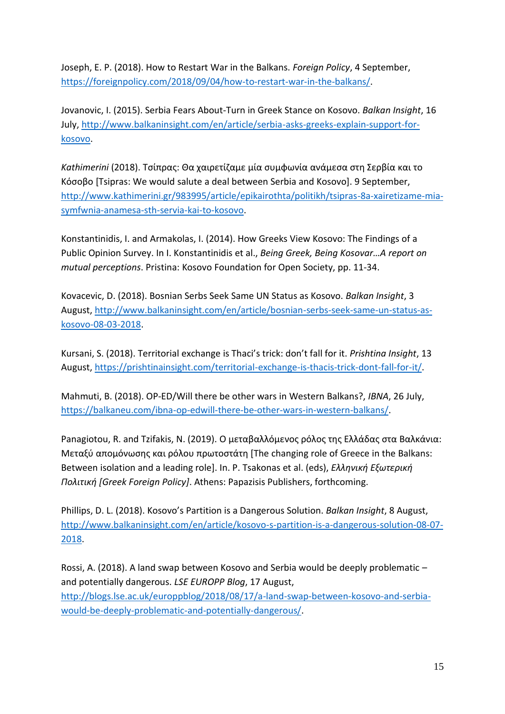Joseph, E. P. (2018). How to Restart War in the Balkans. *Foreign Policy*, 4 September, [https://foreignpolicy.com/2018/09/04/how-to-restart-war-in-the-balkans/.](https://foreignpolicy.com/2018/09/04/how-to-restart-war-in-the-balkans/)

Jovanovic, I. (2015). Serbia Fears About-Turn in Greek Stance on Kosovo. *Balkan Insight*, 16 July, [http://www.balkaninsight.com/en/article/serbia-asks-greeks-explain-support-for](http://www.balkaninsight.com/en/article/serbia-asks-greeks-explain-support-for-kosovo)[kosovo.](http://www.balkaninsight.com/en/article/serbia-asks-greeks-explain-support-for-kosovo)

*Kathimerini* (2018). Τσίπρας: Θα χαιρετίζαμε μία συμφωνία ανάμεσα στη Σερβία και το Κόσοβο [Tsipras: We would salute a deal between Serbia and Kosovo]. 9 September, [http://www.kathimerini.gr/983995/article/epikairothta/politikh/tsipras-8a-xairetizame-mia](http://www.kathimerini.gr/983995/article/epikairothta/politikh/tsipras-8a-xairetizame-mia-symfwnia-anamesa-sth-servia-kai-to-kosovo)[symfwnia-anamesa-sth-servia-kai-to-kosovo.](http://www.kathimerini.gr/983995/article/epikairothta/politikh/tsipras-8a-xairetizame-mia-symfwnia-anamesa-sth-servia-kai-to-kosovo)

Konstantinidis, I. and Armakolas, I. (2014). How Greeks View Kosovo: The Findings of a Public Opinion Survey. In I. Konstantinidis et al., *Being Greek, Being Kosovar…A report on mutual perceptions*. Pristina: Kosovo Foundation for Open Society, pp. 11-34.

Kovacevic, D. (2018). Bosnian Serbs Seek Same UN Status as Kosovo. *Balkan Insight*, 3 August, [http://www.balkaninsight.com/en/article/bosnian-serbs-seek-same-un-status-as](http://www.balkaninsight.com/en/article/bosnian-serbs-seek-same-un-status-as-kosovo-08-03-2018)[kosovo-08-03-2018.](http://www.balkaninsight.com/en/article/bosnian-serbs-seek-same-un-status-as-kosovo-08-03-2018)

Kursani, S. (2018). Territorial exchange is Thaci's trick: don't fall for it. *Prishtina Insight*, 13 August[, https://prishtinainsight.com/territorial-exchange-is-thacis-trick-dont-fall-for-it/.](https://prishtinainsight.com/territorial-exchange-is-thacis-trick-dont-fall-for-it/)

Mahmuti, B. (2018). OP-ED/Will there be other wars in Western Balkans?, *IBNA*, 26 July, [https://balkaneu.com/ibna-op-edwill-there-be-other-wars-in-western-balkans/.](https://balkaneu.com/ibna-op-edwill-there-be-other-wars-in-western-balkans/)

Panagiotou, R. and Tzifakis, N. (2019). Ο μεταβαλλόμενος ρόλος της Ελλάδας στα Βαλκάνια: Μεταξύ απομόνωσης και ρόλου πρωτοστάτη [The changing role of Greece in the Balkans: Between isolation and a leading role]. In. P. Tsakonas et al. (eds), *Ελληνική Εξωτερική Πολιτική [Greek Foreign Policy]*. Athens: Papazisis Publishers, forthcoming.

Phillips, D. L. (2018). Kosovo's Partition is a Dangerous Solution. *Balkan Insight*, 8 August, [http://www.balkaninsight.com/en/article/kosovo-s-partition-is-a-dangerous-solution-08-07-](http://www.balkaninsight.com/en/article/kosovo-s-partition-is-a-dangerous-solution-08-07-2018) [2018.](http://www.balkaninsight.com/en/article/kosovo-s-partition-is-a-dangerous-solution-08-07-2018)

Rossi, A. (2018). A land swap between Kosovo and Serbia would be deeply problematic – and potentially dangerous. *LSE EUROPP Blog*, 17 August, [http://blogs.lse.ac.uk/europpblog/2018/08/17/a-land-swap-between-kosovo-and-serbia](http://blogs.lse.ac.uk/europpblog/2018/08/17/a-land-swap-between-kosovo-and-serbia-would-be-deeply-problematic-and-potentially-dangerous/#comment-974347)[would-be-deeply-problematic-and-potentially-dangerous/.](http://blogs.lse.ac.uk/europpblog/2018/08/17/a-land-swap-between-kosovo-and-serbia-would-be-deeply-problematic-and-potentially-dangerous/#comment-974347)